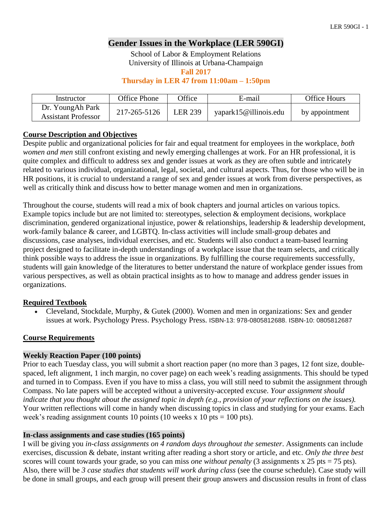## **Gender Issues in the Workplace (LER 590GI)**

School of Labor & Employment Relations University of Illinois at Urbana-Champaign

**Fall 2017**

**Thursday in LER 47 from 11:00am – 1:50pm**

| Instructor                                     | Office Phone | <b>Office</b>  | E-mail                | Office Hours   |
|------------------------------------------------|--------------|----------------|-----------------------|----------------|
| Dr. YoungAh Park<br><b>Assistant Professor</b> | 217-265-5126 | <b>LER 239</b> | yapark15@illinois.edu | by appointment |

### **Course Description and Objectives**

Despite public and organizational policies for fair and equal treatment for employees in the workplace, *both women and men* still confront existing and newly emerging challenges at work. For an HR professional, it is quite complex and difficult to address sex and gender issues at work as they are often subtle and intricately related to various individual, organizational, legal, societal, and cultural aspects. Thus, for those who will be in HR positions, it is crucial to understand a range of sex and gender issues at work from diverse perspectives, as well as critically think and discuss how to better manage women and men in organizations.

Throughout the course, students will read a mix of book chapters and journal articles on various topics. Example topics include but are not limited to: stereotypes, selection & employment decisions, workplace discrimination, gendered organizational injustice, power & relationships, leadership & leadership development, work-family balance & career, and LGBTQ. In-class activities will include small-group debates and discussions, case analyses, individual exercises, and etc. Students will also conduct a team-based learning project designed to facilitate in-depth understandings of a workplace issue that the team selects, and critically think possible ways to address the issue in organizations. By fulfilling the course requirements successfully, students will gain knowledge of the literatures to better understand the nature of workplace gender issues from various perspectives, as well as obtain practical insights as to how to manage and address gender issues in organizations.

## **Required Textbook**

 Cleveland, Stockdale, Murphy, & Gutek (2000). Women and men in organizations: Sex and gender issues at work. Psychology Press. Psychology Press. ISBN-13: 978-0805812688. ISBN-10: 0805812687

#### **Course Requirements**

#### **Weekly Reaction Paper (100 points)**

Prior to each Tuesday class, you will submit a short reaction paper (no more than 3 pages, 12 font size, doublespaced, left alignment, 1 inch margin, no cover page) on each week's reading assignments. This should be typed and turned in to Compass. Even if you have to miss a class, you will still need to submit the assignment through Compass. No late papers will be accepted without a university-accepted excuse. *Your assignment should indicate that you thought about the assigned topic in depth (e.g., provision of your reflections on the issues).* Your written reflections will come in handy when discussing topics in class and studying for your exams. Each week's reading assignment counts 10 points (10 weeks x 10 pts = 100 pts).

#### **In-class assignments and case studies (165 points)**

I will be giving you *in-class assignments on 4 random days throughout the semester*. Assignments can include exercises, discussion & debate, instant writing after reading a short story or article, and etc. *Only the three best* scores will count towards your grade, so you can miss *one without penalty* (3 assignments x 25 pts = 75 pts). Also, there will be *3 case studies that students will work during class* (see the course schedule). Case study will be done in small groups, and each group will present their group answers and discussion results in front of class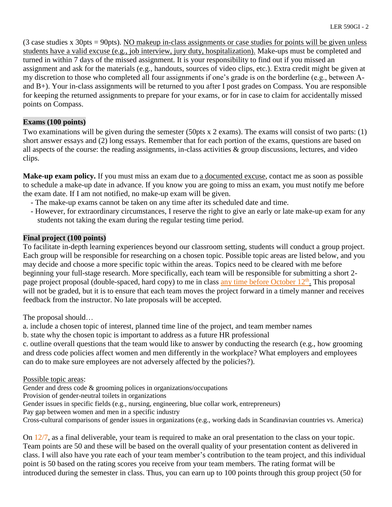(3 case studies x 30pts = 90pts). NO makeup in-class assignments or case studies for points will be given unless students have a valid excuse (e.g., job interview, jury duty, hospitalization). Make-ups must be completed and turned in within 7 days of the missed assignment. It is your responsibility to find out if you missed an assignment and ask for the materials (e.g., handouts, sources of video clips, etc.). Extra credit might be given at my discretion to those who completed all four assignments if one's grade is on the borderline (e.g., between Aand B+). Your in-class assignments will be returned to you after I post grades on Compass. You are responsible for keeping the returned assignments to prepare for your exams, or for in case to claim for accidentally missed points on Compass.

## **Exams (100 points)**

Two examinations will be given during the semester (50pts x 2 exams). The exams will consist of two parts: (1) short answer essays and (2) long essays. Remember that for each portion of the exams, questions are based on all aspects of the course: the reading assignments, in-class activities & group discussions, lectures, and video clips.

Make-up exam policy. If you must miss an exam due to a documented excuse, contact me as soon as possible to schedule a make-up date in advance. If you know you are going to miss an exam, you must notify me before the exam date. If I am not notified, no make-up exam will be given.

- The make-up exams cannot be taken on any time after its scheduled date and time.
- However, for extraordinary circumstances, I reserve the right to give an early or late make-up exam for any students not taking the exam during the regular testing time period.

## **Final project (100 points)**

To facilitate in-depth learning experiences beyond our classroom setting, students will conduct a group project. Each group will be responsible for researching on a chosen topic. Possible topic areas are listed below, and you may decide and choose a more specific topic within the areas. Topics need to be cleared with me before beginning your full-stage research. More specifically, each team will be responsible for submitting a short 2 page project proposal (double-spaced, hard copy) to me in class any time before October 12<sup>th</sup>. This proposal will not be graded, but it is to ensure that each team moves the project forward in a timely manner and receives feedback from the instructor. No late proposals will be accepted.

The proposal should…

a. include a chosen topic of interest, planned time line of the project, and team member names

b. state why the chosen topic is important to address as a future HR professional

c. outline overall questions that the team would like to answer by conducting the research (e.g., how grooming and dress code policies affect women and men differently in the workplace? What employers and employees can do to make sure employees are not adversely affected by the policies?).

Possible topic areas:

Gender and dress code & grooming polices in organizations/occupations

Provision of gender-neutral toilets in organizations

Gender issues in specific fields (e.g., nursing, engineering, blue collar work, entrepreneurs)

Pay gap between women and men in a specific industry

Cross-cultural comparisons of gender issues in organizations (e.g., working dads in Scandinavian countries vs. America)

On 12/7, as a final deliverable, your team is required to make an oral presentation to the class on your topic. Team points are 50 and these will be based on the overall quality of your presentation content as delivered in class. I will also have you rate each of your team member's contribution to the team project, and this individual point is 50 based on the rating scores you receive from your team members. The rating format will be introduced during the semester in class. Thus, you can earn up to 100 points through this group project (50 for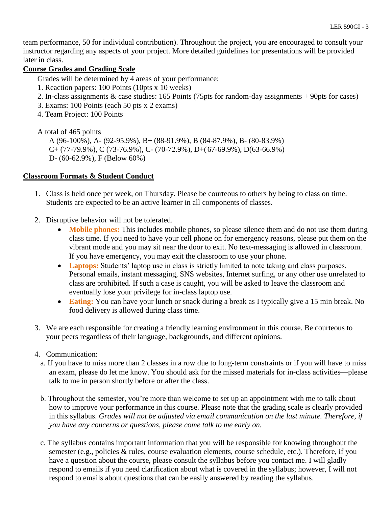team performance, 50 for individual contribution). Throughout the project, you are encouraged to consult your instructor regarding any aspects of your project. More detailed guidelines for presentations will be provided later in class.

### **Course Grades and Grading Scale**

Grades will be determined by 4 areas of your performance:

- 1. Reaction papers: 100 Points (10pts x 10 weeks)
- 2. In-class assignments & case studies: 165 Points (75pts for random-day assignments + 90pts for cases)
- 3. Exams: 100 Points (each 50 pts x 2 exams)
- 4. Team Project: 100 Points

A total of 465 points

A (96-100%), A- (92-95.9%), B+ (88-91.9%), B (84-87.9%), B- (80-83.9%)  $C+(77-79.9\%)$ , C (73-76.9%), C- (70-72.9%), D+(67-69.9%), D(63-66.9%) D- (60-62.9%), F (Below 60%)

### **Classroom Formats & Student Conduct**

- 1. Class is held once per week, on Thursday. Please be courteous to others by being to class on time. Students are expected to be an active learner in all components of classes.
- 2. Disruptive behavior will not be tolerated.
	- **Mobile phones:** This includes mobile phones, so please silence them and do not use them during class time. If you need to have your cell phone on for emergency reasons, please put them on the vibrant mode and you may sit near the door to exit. No text-messaging is allowed in classroom. If you have emergency, you may exit the classroom to use your phone.
	- **Laptops:** Students' laptop use in class is strictly limited to note taking and class purposes. Personal emails, instant messaging, SNS websites, Internet surfing, or any other use unrelated to class are prohibited. If such a case is caught, you will be asked to leave the classroom and eventually lose your privilege for in-class laptop use.
	- **Eating:** You can have your lunch or snack during a break as I typically give a 15 min break. No food delivery is allowed during class time.
- 3. We are each responsible for creating a friendly learning environment in this course. Be courteous to your peers regardless of their language, backgrounds, and different opinions.
- 4. Communication:
	- a. If you have to miss more than 2 classes in a row due to long-term constraints or if you will have to miss an exam, please do let me know. You should ask for the missed materials for in-class activities—please talk to me in person shortly before or after the class.
	- b. Throughout the semester, you're more than welcome to set up an appointment with me to talk about how to improve your performance in this course. Please note that the grading scale is clearly provided in this syllabus. *Grades will not be adjusted via email communication on the last minute. Therefore, if you have any concerns or questions, please come talk to me early on.*
	- c. The syllabus contains important information that you will be responsible for knowing throughout the semester (e.g., policies & rules, course evaluation elements, course schedule, etc.). Therefore, if you have a question about the course, please consult the syllabus before you contact me. I will gladly respond to emails if you need clarification about what is covered in the syllabus; however, I will not respond to emails about questions that can be easily answered by reading the syllabus.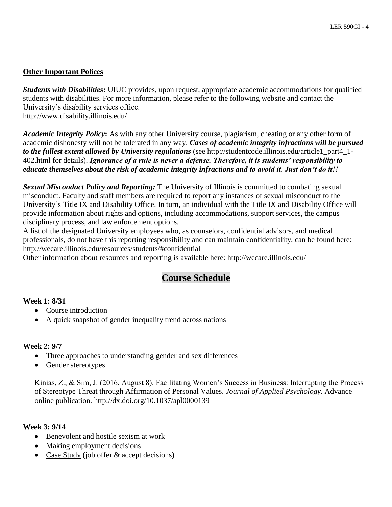## **Other Important Polices**

*Students with Disabilities***:** UIUC provides, upon request, appropriate academic accommodations for qualified students with disabilities. For more information, please refer to the following website and contact the University's disability services office. http://www.disability.illinois.edu/

*Academic Integrity Policy***:** As with any other University course, plagiarism, cheating or any other form of academic dishonesty will not be tolerated in any way. *Cases of academic integrity infractions will be pursued to the fullest extent allowed by University regulations* (see http://studentcode.illinois.edu/article1\_part4\_1- 402.html for details). *Ignorance of a rule is never a defense. Therefore, it is students' responsibility to educate themselves about the risk of academic integrity infractions and to avoid it. Just don't do it!!*

*Sexual Misconduct Policy and Reporting:* The University of Illinois is committed to combating sexual misconduct. Faculty and staff members are required to report any instances of sexual misconduct to the University's Title IX and Disability Office. In turn, an individual with the Title IX and Disability Office will provide information about rights and options, including accommodations, support services, the campus disciplinary process, and law enforcement options.

A list of the designated University employees who, as counselors, confidential advisors, and medical professionals, do not have this reporting responsibility and can maintain confidentiality, can be found here: http://wecare.illinois.edu/resources/students/#confidential

Other information about resources and reporting is available here: http://wecare.illinois.edu/

# **Course Schedule**

## **Week 1: 8/31**

- Course introduction
- A quick snapshot of gender inequality trend across nations

## **Week 2: 9/7**

- Three approaches to understanding gender and sex differences
- Gender stereotypes

Kinias, Z., & Sim, J. (2016, August 8). Facilitating Women's Success in Business: Interrupting the Process of Stereotype Threat through Affirmation of Personal Values. *Journal of Applied Psychology.* Advance online publication. http://dx.doi.org/10.1037/apl0000139

## **Week 3: 9/14**

- Benevolent and hostile sexism at work
- Making employment decisions
- Case Study (job offer & accept decisions)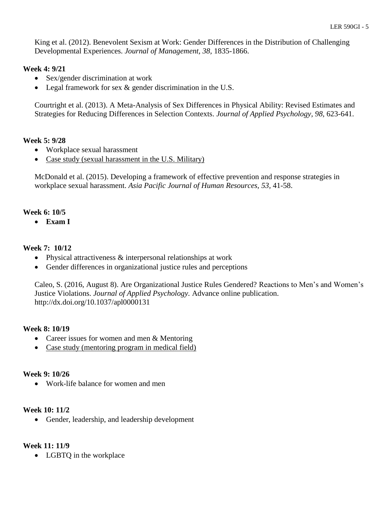King et al. (2012). Benevolent Sexism at Work: Gender Differences in the Distribution of Challenging Developmental Experiences. *Journal of Management, 38,* 1835-1866.

## **Week 4: 9/21**

- Sex/gender discrimination at work
- Legal framework for sex & gender discrimination in the U.S.

Courtright et al. (2013). A Meta-Analysis of Sex Differences in Physical Ability: Revised Estimates and Strategies for Reducing Differences in Selection Contexts. *Journal of Applied Psychology, 98,* 623-641.

## **Week 5: 9/28**

- Workplace sexual harassment
- Case study (sexual harassment in the U.S. Military)

McDonald et al. (2015). Developing a framework of effective prevention and response strategies in workplace sexual harassment. *Asia Pacific Journal of Human Resources, 53,* 41-58.

## **Week 6: 10/5**

**Exam I**

### **Week 7: 10/12**

- Physical attractiveness & interpersonal relationships at work
- Gender differences in organizational justice rules and perceptions

Caleo, S. (2016, August 8). Are Organizational Justice Rules Gendered? Reactions to Men's and Women's Justice Violations. *Journal of Applied Psychology.* Advance online publication. http://dx.doi.org/10.1037/apl0000131

#### **Week 8: 10/19**

- Career issues for women and men & Mentoring
- Case study (mentoring program in medical field)

#### **Week 9: 10/26**

Work-life balance for women and men

#### **Week 10: 11/2**

• Gender, leadership, and leadership development

#### **Week 11: 11/9**

• LGBTO in the workplace